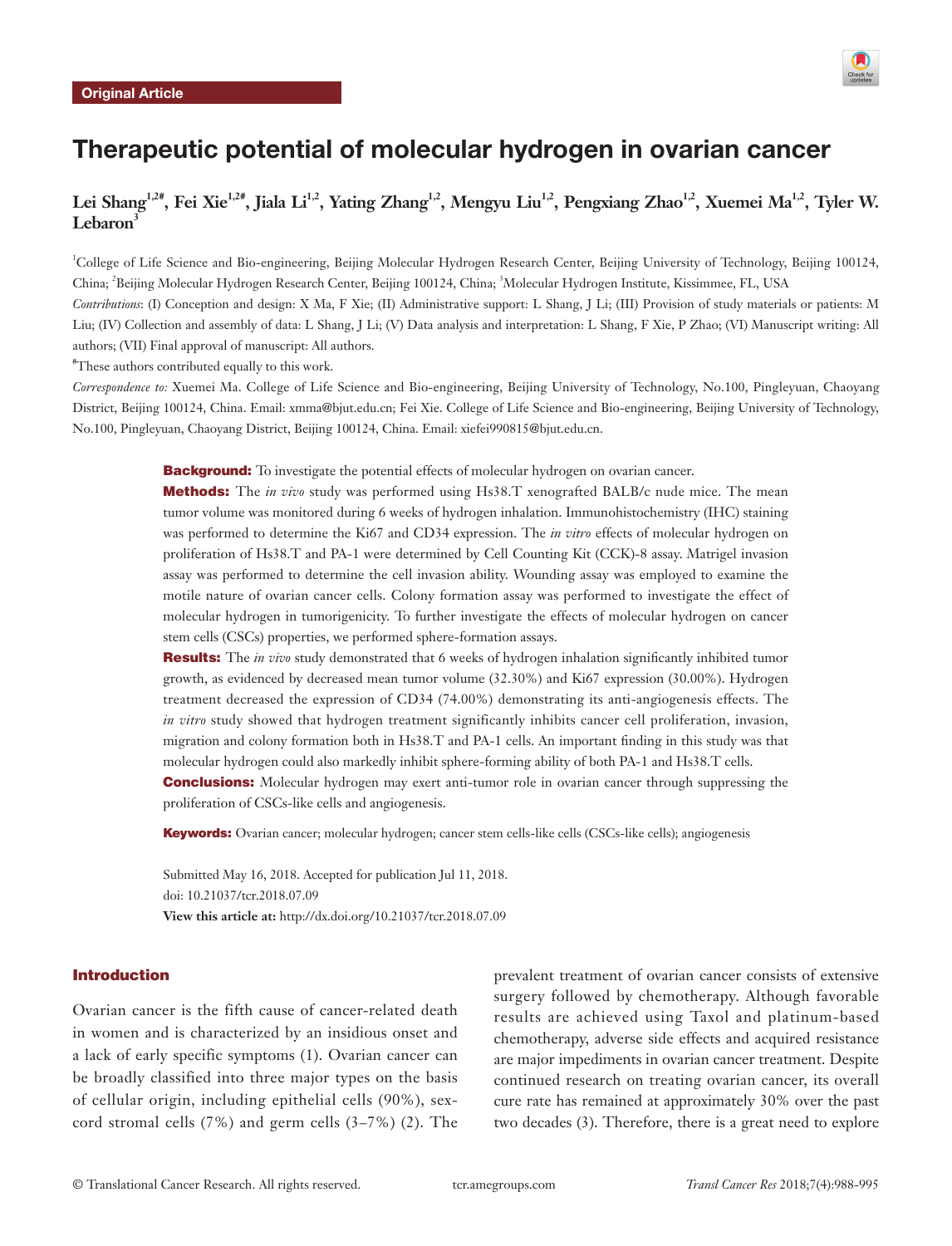

# Therapeutic potential of molecular hydrogen in ovarian cancer

# Lei Shang<sup>1,2#</sup>, Fei Xie<sup>1,2#</sup>, Jiala Li<sup>1,2</sup>, Yating Zhang<sup>1,2</sup>, Mengyu Liu<sup>1,2</sup>, Pengxiang Zhao<sup>1,2</sup>, Xuemei Ma<sup>1,2</sup>, Tyler W. Lebaron<sup>3</sup>

1 College of Life Science and Bio-engineering, Beijing Molecular Hydrogen Research Center, Beijing University of Technology, Beijing 100124, China; <sup>2</sup>Beijing Molecular Hydrogen Research Center, Beijing 100124, China; <sup>3</sup>Molecular Hydrogen Institute, Kissimmee, FL, USA *Contributions*: (I) Conception and design: X Ma, F Xie; (II) Administrative support: L Shang, J Li; (III) Provision of study materials or patients: M Liu; (IV) Collection and assembly of data: L Shang, J Li; (V) Data analysis and interpretation: L Shang, F Xie, P Zhao; (VI) Manuscript writing: All authors; (VII) Final approval of manuscript: All authors.

# These authors contributed equally to this work.

*Correspondence to:* Xuemei Ma. College of Life Science and Bio-engineering, Beijing University of Technology, No.100, Pingleyuan, Chaoyang District, Beijing 100124, China. Email: xmma@bjut.edu.cn; Fei Xie. College of Life Science and Bio-engineering, Beijing University of Technology, No.100, Pingleyuan, Chaoyang District, Beijing 100124, China. Email: xiefei990815@bjut.edu.cn.

**Background:** To investigate the potential effects of molecular hydrogen on ovarian cancer.

Methods: The *in vivo* study was performed using Hs38.T xenografted BALB/c nude mice. The mean tumor volume was monitored during 6 weeks of hydrogen inhalation. Immunohistochemistry (IHC) staining was performed to determine the Ki67 and CD34 expression. The *in vitro* effects of molecular hydrogen on proliferation of Hs38.T and PA-1 were determined by Cell Counting Kit (CCK)-8 assay. Matrigel invasion assay was performed to determine the cell invasion ability. Wounding assay was employed to examine the motile nature of ovarian cancer cells. Colony formation assay was performed to investigate the effect of molecular hydrogen in tumorigenicity. To further investigate the effects of molecular hydrogen on cancer stem cells (CSCs) properties, we performed sphere-formation assays.

Results: The *in vivo* study demonstrated that 6 weeks of hydrogen inhalation significantly inhibited tumor growth, as evidenced by decreased mean tumor volume (32.30%) and Ki67 expression (30.00%). Hydrogen treatment decreased the expression of CD34 (74.00%) demonstrating its anti-angiogenesis effects. The *in vitro* study showed that hydrogen treatment significantly inhibits cancer cell proliferation, invasion, migration and colony formation both in Hs38.T and PA-1 cells. An important finding in this study was that molecular hydrogen could also markedly inhibit sphere-forming ability of both PA-1 and Hs38.T cells.

**Conclusions:** Molecular hydrogen may exert anti-tumor role in ovarian cancer through suppressing the proliferation of CSCs-like cells and angiogenesis.

Keywords: Ovarian cancer; molecular hydrogen; cancer stem cells-like cells (CSCs-like cells); angiogenesis

Submitted May 16, 2018. Accepted for publication Jul 11, 2018. doi: 10.21037/tcr.2018.07.09 **View this article at:** http://dx.doi.org/10.21037/tcr.2018.07.09

#### Introduction

Ovarian cancer is the fifth cause of cancer-related death in women and is characterized by an insidious onset and a lack of early specific symptoms (1). Ovarian cancer can be broadly classified into three major types on the basis of cellular origin, including epithelial cells (90%), sexcord stromal cells (7%) and germ cells (3–7%) (2). The prevalent treatment of ovarian cancer consists of extensive surgery followed by chemotherapy. Although favorable results are achieved using Taxol and platinum-based chemotherapy, adverse side effects and acquired resistance are major impediments in ovarian cancer treatment. Despite continued research on treating ovarian cancer, its overall cure rate has remained at approximately 30% over the past two decades (3). Therefore, there is a great need to explore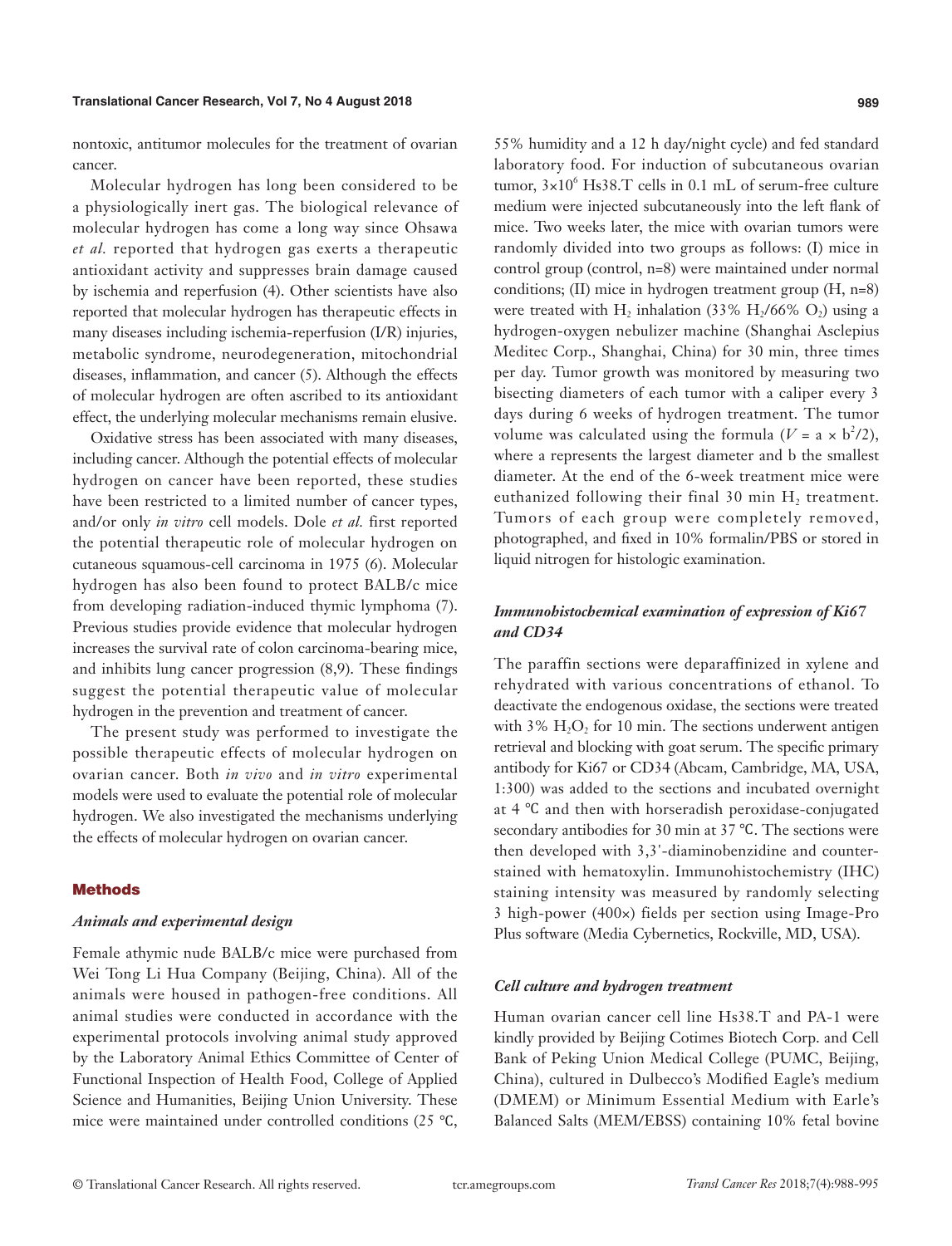nontoxic, antitumor molecules for the treatment of ovarian cancer.

Molecular hydrogen has long been considered to be a physiologically inert gas. The biological relevance of molecular hydrogen has come a long way since Ohsawa *et al.* reported that hydrogen gas exerts a therapeutic antioxidant activity and suppresses brain damage caused by ischemia and reperfusion (4). Other scientists have also reported that molecular hydrogen has therapeutic effects in many diseases including ischemia-reperfusion (I/R) injuries, metabolic syndrome, neurodegeneration, mitochondrial diseases, inflammation, and cancer (5). Although the effects of molecular hydrogen are often ascribed to its antioxidant effect, the underlying molecular mechanisms remain elusive.

Oxidative stress has been associated with many diseases, including cancer. Although the potential effects of molecular hydrogen on cancer have been reported, these studies have been restricted to a limited number of cancer types, and/or only *in vitro* cell models. Dole *et al.* first reported the potential therapeutic role of molecular hydrogen on cutaneous squamous-cell carcinoma in 1975 (6). Molecular hydrogen has also been found to protect BALB/c mice from developing radiation-induced thymic lymphoma (7). Previous studies provide evidence that molecular hydrogen increases the survival rate of colon carcinoma-bearing mice, and inhibits lung cancer progression (8,9). These findings suggest the potential therapeutic value of molecular hydrogen in the prevention and treatment of cancer.

The present study was performed to investigate the possible therapeutic effects of molecular hydrogen on ovarian cancer. Both *in vivo* and *in vitro* experimental models were used to evaluate the potential role of molecular hydrogen. We also investigated the mechanisms underlying the effects of molecular hydrogen on ovarian cancer.

# **Methods**

#### *Animals and experimental design*

Female athymic nude BALB/c mice were purchased from Wei Tong Li Hua Company (Beijing, China). All of the animals were housed in pathogen-free conditions. All animal studies were conducted in accordance with the experimental protocols involving animal study approved by the Laboratory Animal Ethics Committee of Center of Functional Inspection of Health Food, College of Applied Science and Humanities, Beijing Union University. These mice were maintained under controlled conditions (25 ℃,

55% humidity and a 12 h day/night cycle) and fed standard laboratory food. For induction of subcutaneous ovarian tumor,  $3 \times 10^6$  Hs38.T cells in 0.1 mL of serum-free culture medium were injected subcutaneously into the left flank of mice. Two weeks later, the mice with ovarian tumors were randomly divided into two groups as follows: (I) mice in control group (control, n=8) were maintained under normal conditions; (II) mice in hydrogen treatment group (H, n=8) were treated with H<sub>2</sub> inhalation  $(33\% \text{ H}_2/66\% \text{ O}_2)$  using a hydrogen-oxygen nebulizer machine (Shanghai Asclepius Meditec Corp., Shanghai, China) for 30 min, three times per day. Tumor growth was monitored by measuring two bisecting diameters of each tumor with a caliper every 3 days during 6 weeks of hydrogen treatment. The tumor volume was calculated using the formula ( $V = a \times b^2/2$ ), where a represents the largest diameter and b the smallest diameter. At the end of the 6-week treatment mice were euthanized following their final 30 min H<sub>2</sub> treatment. Tumors of each group were completely removed, photographed, and fixed in 10% formalin/PBS or stored in liquid nitrogen for histologic examination.

# *Immunohistochemical examination of expression of Ki67 and CD34*

The paraffin sections were deparaffinized in xylene and rehydrated with various concentrations of ethanol. To deactivate the endogenous oxidase, the sections were treated with  $3\%$  H<sub>2</sub>O<sub>2</sub> for 10 min. The sections underwent antigen retrieval and blocking with goat serum. The specific primary antibody for Ki67 or CD34 (Abcam, Cambridge, MA, USA, 1:300) was added to the sections and incubated overnight at 4 ℃ and then with horseradish peroxidase-conjugated secondary antibodies for 30 min at 37 ℃. The sections were then developed with 3,3'-diaminobenzidine and counterstained with hematoxylin. Immunohistochemistry (IHC) staining intensity was measured by randomly selecting 3 high-power (400×) fields per section using Image-Pro Plus software (Media Cybernetics, Rockville, MD, USA).

#### *Cell culture and hydrogen treatment*

Human ovarian cancer cell line Hs38.T and PA-1 were kindly provided by Beijing Cotimes Biotech Corp. and Cell Bank of Peking Union Medical College (PUMC, Beijing, China), cultured in Dulbecco's Modified Eagle's medium (DMEM) or Minimum Essential Medium with Earle's Balanced Salts (MEM/EBSS) containing 10% fetal bovine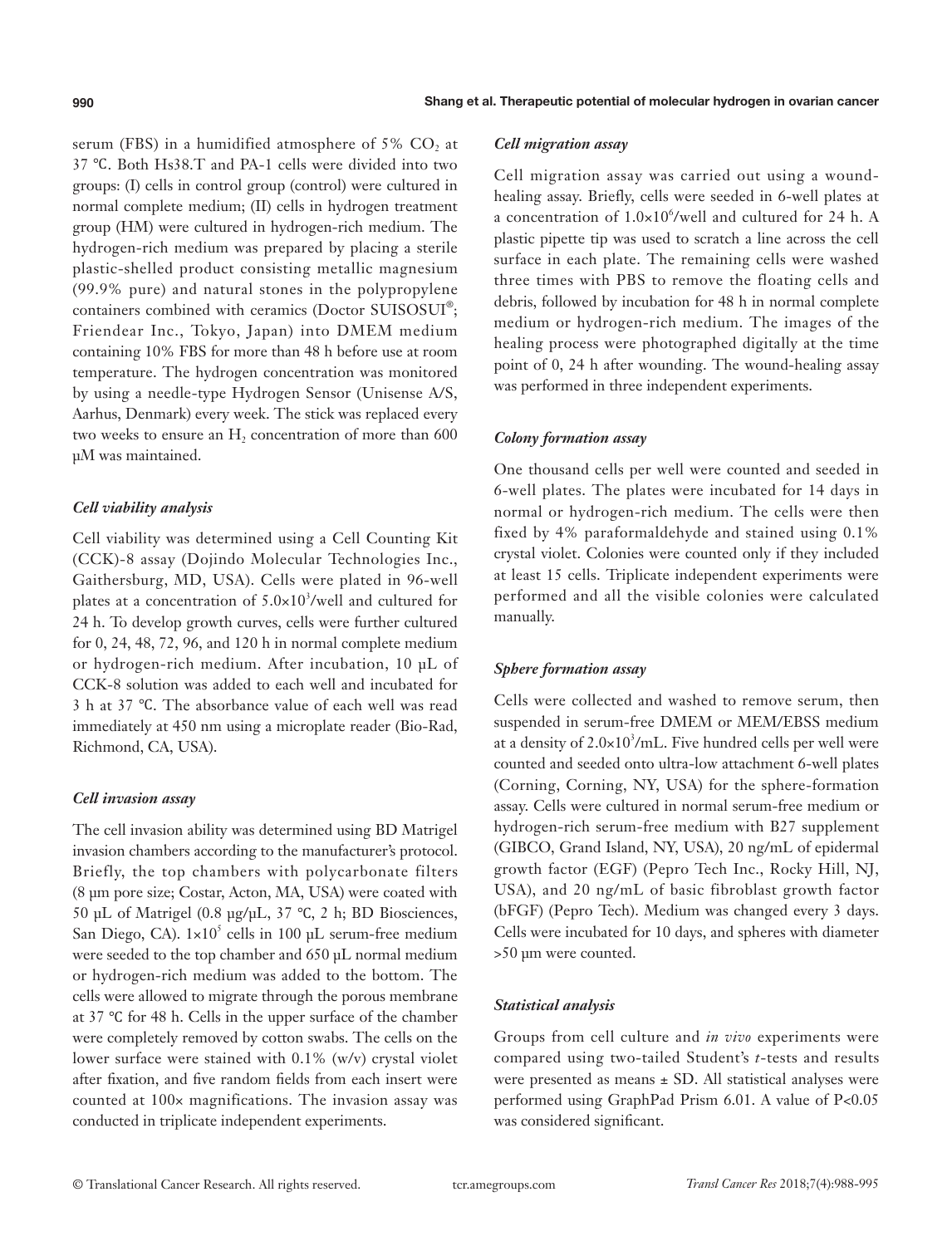serum (FBS) in a humidified atmosphere of  $5\%$  CO<sub>2</sub> at 37 ℃. Both Hs38.T and PA-1 cells were divided into two groups: (I) cells in control group (control) were cultured in normal complete medium; (II) cells in hydrogen treatment group (HM) were cultured in hydrogen-rich medium. The hydrogen-rich medium was prepared by placing a sterile plastic-shelled product consisting metallic magnesium (99.9% pure) and natural stones in the polypropylene containers combined with ceramics (Doctor SUISOSUI®; Friendear Inc., Tokyo, Japan) into DMEM medium containing 10% FBS for more than 48 h before use at room temperature. The hydrogen concentration was monitored by using a needle-type Hydrogen Sensor (Unisense A/S, Aarhus, Denmark) every week. The stick was replaced every two weeks to ensure an  $H_2$  concentration of more than  $600$ µM was maintained.

# *Cell viability analysis*

Cell viability was determined using a Cell Counting Kit (CCK)-8 assay (Dojindo Molecular Technologies Inc., Gaithersburg, MD, USA). Cells were plated in 96-well plates at a concentration of  $5.0 \times 10^3$ /well and cultured for 24 h. To develop growth curves, cells were further cultured for 0, 24, 48, 72, 96, and 120 h in normal complete medium or hydrogen-rich medium. After incubation, 10 µL of CCK-8 solution was added to each well and incubated for 3 h at 37 ℃. The absorbance value of each well was read immediately at 450 nm using a microplate reader (Bio-Rad, Richmond, CA, USA).

# *Cell invasion assay*

The cell invasion ability was determined using BD Matrigel invasion chambers according to the manufacturer's protocol. Briefly, the top chambers with polycarbonate filters (8 µm pore size; Costar, Acton, MA, USA) were coated with 50 µL of Matrigel (0.8 µg/µL, 37 ℃, 2 h; BD Biosciences, San Diego, CA).  $1 \times 10^5$  cells in 100 µL serum-free medium were seeded to the top chamber and 650 µL normal medium or hydrogen-rich medium was added to the bottom. The cells were allowed to migrate through the porous membrane at 37 ℃ for 48 h. Cells in the upper surface of the chamber were completely removed by cotton swabs. The cells on the lower surface were stained with 0.1% (w/v) crystal violet after fixation, and five random fields from each insert were counted at 100× magnifications. The invasion assay was conducted in triplicate independent experiments.

#### *Cell migration assay*

Cell migration assay was carried out using a woundhealing assay. Briefly, cells were seeded in 6-well plates at a concentration of  $1.0 \times 10^6$ /well and cultured for 24 h. A plastic pipette tip was used to scratch a line across the cell surface in each plate. The remaining cells were washed three times with PBS to remove the floating cells and debris, followed by incubation for 48 h in normal complete medium or hydrogen-rich medium. The images of the healing process were photographed digitally at the time point of 0, 24 h after wounding. The wound-healing assay was performed in three independent experiments.

# *Colony formation assay*

One thousand cells per well were counted and seeded in 6-well plates. The plates were incubated for 14 days in normal or hydrogen-rich medium. The cells were then fixed by 4% paraformaldehyde and stained using 0.1% crystal violet. Colonies were counted only if they included at least 15 cells. Triplicate independent experiments were performed and all the visible colonies were calculated manually.

# *Sphere formation assay*

Cells were collected and washed to remove serum, then suspended in serum-free DMEM or MEM/EBSS medium at a density of  $2.0 \times 10^3$ /mL. Five hundred cells per well were counted and seeded onto ultra-low attachment 6-well plates (Corning, Corning, NY, USA) for the sphere-formation assay. Cells were cultured in normal serum-free medium or hydrogen-rich serum-free medium with B27 supplement (GIBCO, Grand Island, NY, USA), 20 ng/mL of epidermal growth factor (EGF) (Pepro Tech Inc., Rocky Hill, NJ, USA), and 20 ng/mL of basic fibroblast growth factor (bFGF) (Pepro Tech). Medium was changed every 3 days. Cells were incubated for 10 days, and spheres with diameter >50 µm were counted.

# *Statistical analysis*

Groups from cell culture and *in vivo* experiments were compared using two-tailed Student's *t*-tests and results were presented as means  $\pm$  SD. All statistical analyses were performed using GraphPad Prism 6.01. A value of P<0.05 was considered significant.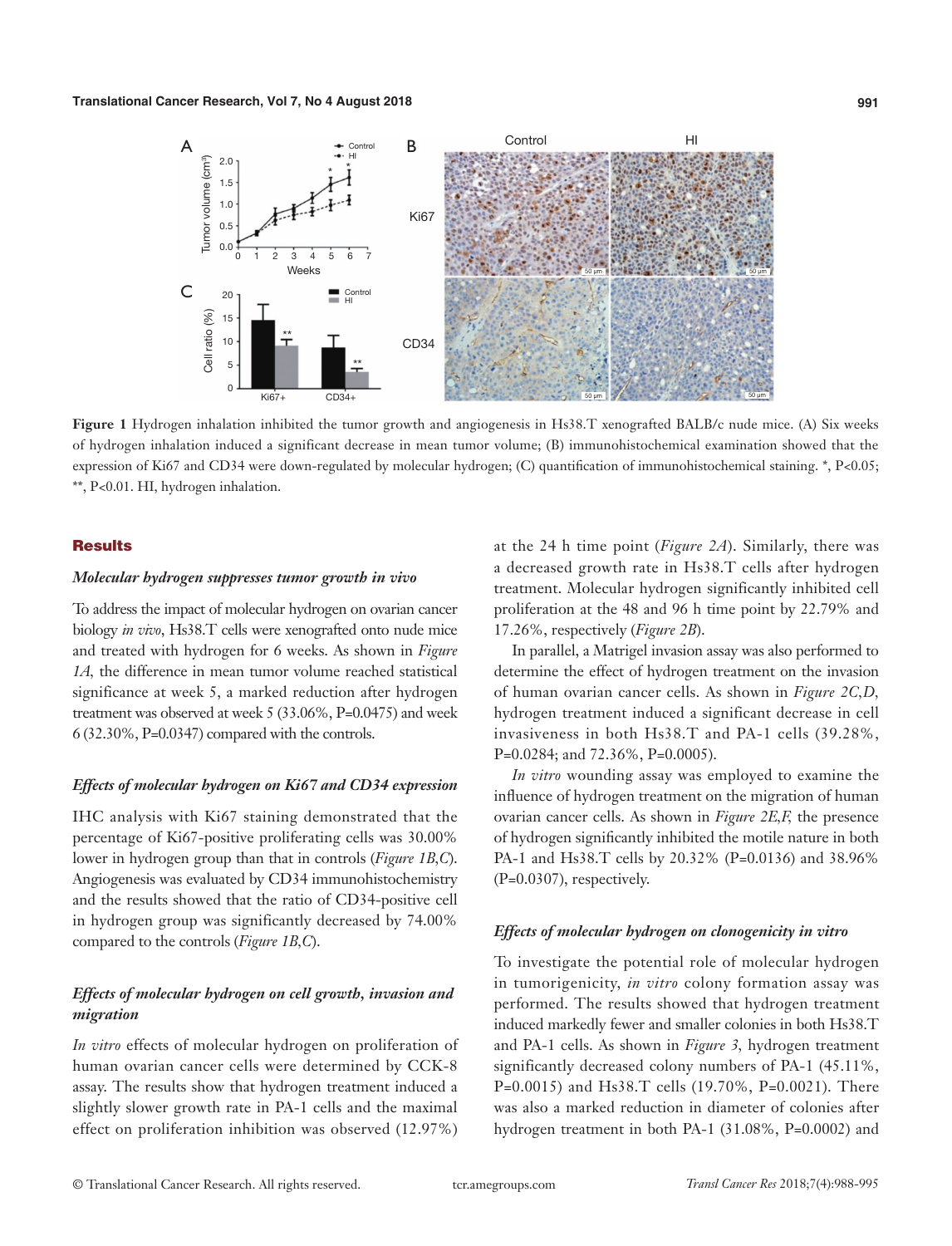

**Figure 1** Hydrogen inhalation inhibited the tumor growth and angiogenesis in Hs38.T xenografted BALB/c nude mice. (A) Six weeks of hydrogen inhalation induced a significant decrease in mean tumor volume; (B) immunohistochemical examination showed that the expression of Ki67 and CD34 were down-regulated by molecular hydrogen; (C) quantification of immunohistochemical staining. \*, P<0.05;

#### Results

#### *Molecular hydrogen suppresses tumor growth in vivo*

To address the impact of molecular hydrogen on ovarian cancer biology *in vivo*, Hs38.T cells were xenografted onto nude mice and treated with hydrogen for 6 weeks. As shown in *Figure 1A,* the difference in mean tumor volume reached statistical significance at week 5, a marked reduction after hydrogen treatment was observed at week 5 (33.06%, P=0.0475) and week 6 (32.30%, P=0.0347) compared with the controls.

#### *Effects of molecular hydrogen on Ki67 and CD34 expression*

IHC analysis with Ki67 staining demonstrated that the percentage of Ki67-positive proliferating cells was 30.00% lower in hydrogen group than that in controls (*Figure 1B,C*). Angiogenesis was evaluated by CD34 immunohistochemistry and the results showed that the ratio of CD34-positive cell in hydrogen group was significantly decreased by 74.00% compared to the controls (*Figure 1B,C*).

# *Effects of molecular hydrogen on cell growth, invasion and migration*

*In vitro* effects of molecular hydrogen on proliferation of human ovarian cancer cells were determined by CCK-8 assay. The results show that hydrogen treatment induced a slightly slower growth rate in PA-1 cells and the maximal effect on proliferation inhibition was observed (12.97%)

at the 24 h time point (*Figure 2A*). Similarly, there was a decreased growth rate in Hs38.T cells after hydrogen treatment. Molecular hydrogen significantly inhibited cell proliferation at the 48 and 96 h time point by 22.79% and 17.26%, respectively (*Figure 2B*).

In parallel, a Matrigel invasion assay was also performed to determine the effect of hydrogen treatment on the invasion of human ovarian cancer cells. As shown in *Figure 2C,D,* hydrogen treatment induced a significant decrease in cell invasiveness in both Hs38.T and PA-1 cells (39.28%, P=0.0284; and 72.36%, P=0.0005).

*In vitro* wounding assay was employed to examine the influence of hydrogen treatment on the migration of human ovarian cancer cells. As shown in *Figure 2E,F,* the presence of hydrogen significantly inhibited the motile nature in both PA-1 and Hs38.T cells by 20.32% (P=0.0136) and 38.96% (P=0.0307), respectively.

#### *Effects of molecular hydrogen on clonogenicity in vitro*

To investigate the potential role of molecular hydrogen in tumorigenicity, *in vitro* colony formation assay was performed. The results showed that hydrogen treatment induced markedly fewer and smaller colonies in both Hs38.T and PA-1 cells. As shown in *Figure 3,* hydrogen treatment significantly decreased colony numbers of PA-1 (45.11%, P=0.0015) and Hs38.T cells (19.70%, P=0.0021). There was also a marked reduction in diameter of colonies after hydrogen treatment in both PA-1 (31.08%, P=0.0002) and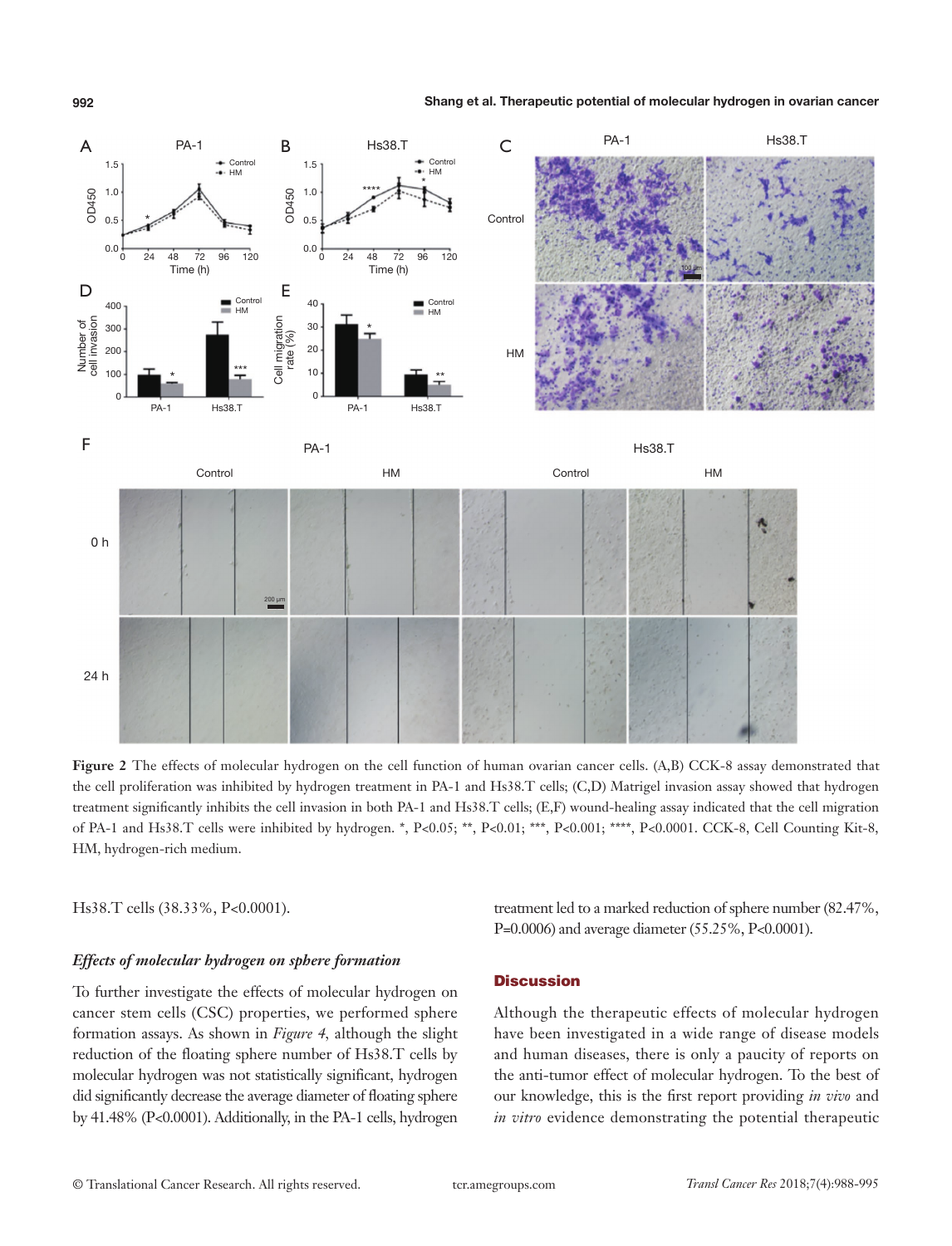

**Figure 2** The effects of molecular hydrogen on the cell function of human ovarian cancer cells. (A,B) CCK-8 assay demonstrated that the cell proliferation was inhibited by hydrogen treatment in PA-1 and Hs38.T cells; (C,D) Matrigel invasion assay showed that hydrogen treatment significantly inhibits the cell invasion in both PA-1 and Hs38.T cells; (E,F) wound-healing assay indicated that the cell migration of PA-1 and Hs38.T cells were inhibited by hydrogen. \*, P<0.05; \*\*, P<0.01; \*\*\*, P<0.001; \*\*\*\*, P<0.0001. CCK-8, Cell Counting Kit-8, HM, hydrogen-rich medium.

Hs38.T cells (38.33%, P<0.0001).

#### *Effects of molecular hydrogen on sphere formation*

To further investigate the effects of molecular hydrogen on cancer stem cells (CSC) properties, we performed sphere formation assays. As shown in *Figure 4,* although the slight reduction of the floating sphere number of Hs38.T cells by molecular hydrogen was not statistically significant, hydrogen did significantly decrease the average diameter of floating sphere by 41.48% (P<0.0001). Additionally, in the PA-1 cells, hydrogen

treatment led to a marked reduction of sphere number (82.47%, P=0.0006) and average diameter (55.25%, P<0.0001).

#### **Discussion**

Although the therapeutic effects of molecular hydrogen have been investigated in a wide range of disease models and human diseases, there is only a paucity of reports on the anti-tumor effect of molecular hydrogen. To the best of our knowledge, this is the first report providing *in vivo* and *in vitro* evidence demonstrating the potential therapeutic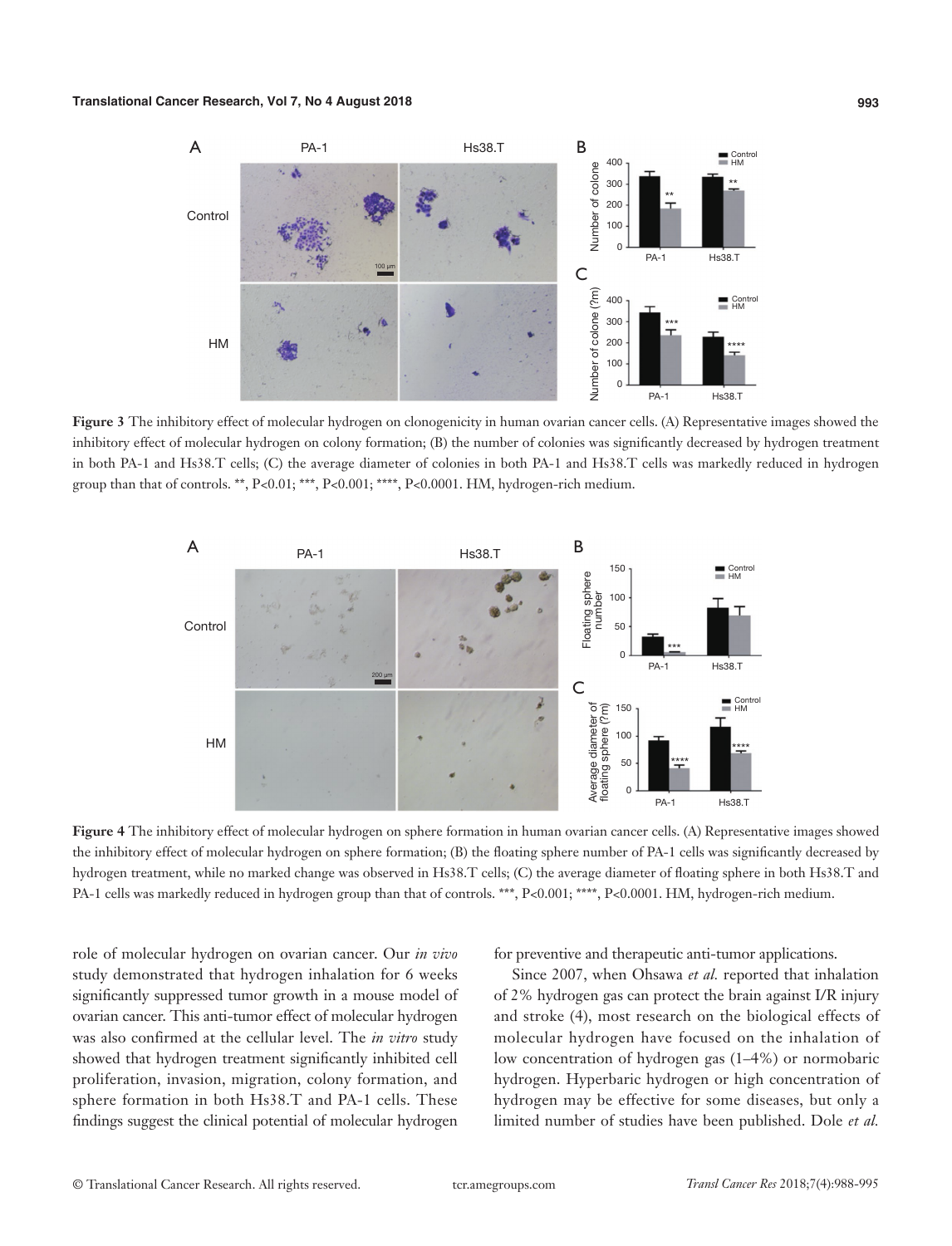

**Figure 3** The inhibitory effect of molecular hydrogen on clonogenicity in human ovarian cancer cells. (A) Representative images showed the inhibitory effect of molecular hydrogen on colony formation; (B) the number of colonies was significantly decreased by hydrogen treatment in both PA-1 and Hs38.T cells; (C) the average diameter of colonies in both PA-1 and Hs38.T cells was markedly reduced in hydrogen



**Figure 4** The inhibitory effect of molecular hydrogen on sphere formation in human ovarian cancer cells. (A) Representative images showed the inhibitory effect of molecular hydrogen on sphere formation; (B) the floating sphere number of PA-1 cells was significantly decreased by hydrogen treatment, while no marked change was observed in Hs38.T cells; (C) the average diameter of floating sphere in both Hs38.T and PA-1 cells was markedly reduced in hydrogen group than that of controls. \*\*\*, P<0.001; \*\*\*\*, P<0.0001. HM, hydrogen-rich medium.

role of molecular hydrogen on ovarian cancer. Our *in vivo*  study demonstrated that hydrogen inhalation for 6 weeks significantly suppressed tumor growth in a mouse model of ovarian cancer. This anti-tumor effect of molecular hydrogen was also confirmed at the cellular level. The *in vitro* study showed that hydrogen treatment significantly inhibited cell proliferation, invasion, migration, colony formation, and sphere formation in both Hs38.T and PA-1 cells. These findings suggest the clinical potential of molecular hydrogen

for preventive and therapeutic anti-tumor applications.

Since 2007, when Ohsawa *et al.* reported that inhalation of 2% hydrogen gas can protect the brain against I/R injury and stroke (4), most research on the biological effects of molecular hydrogen have focused on the inhalation of low concentration of hydrogen gas (1–4%) or normobaric hydrogen. Hyperbaric hydrogen or high concentration of hydrogen may be effective for some diseases, but only a limited number of studies have been published. Dole *et al.*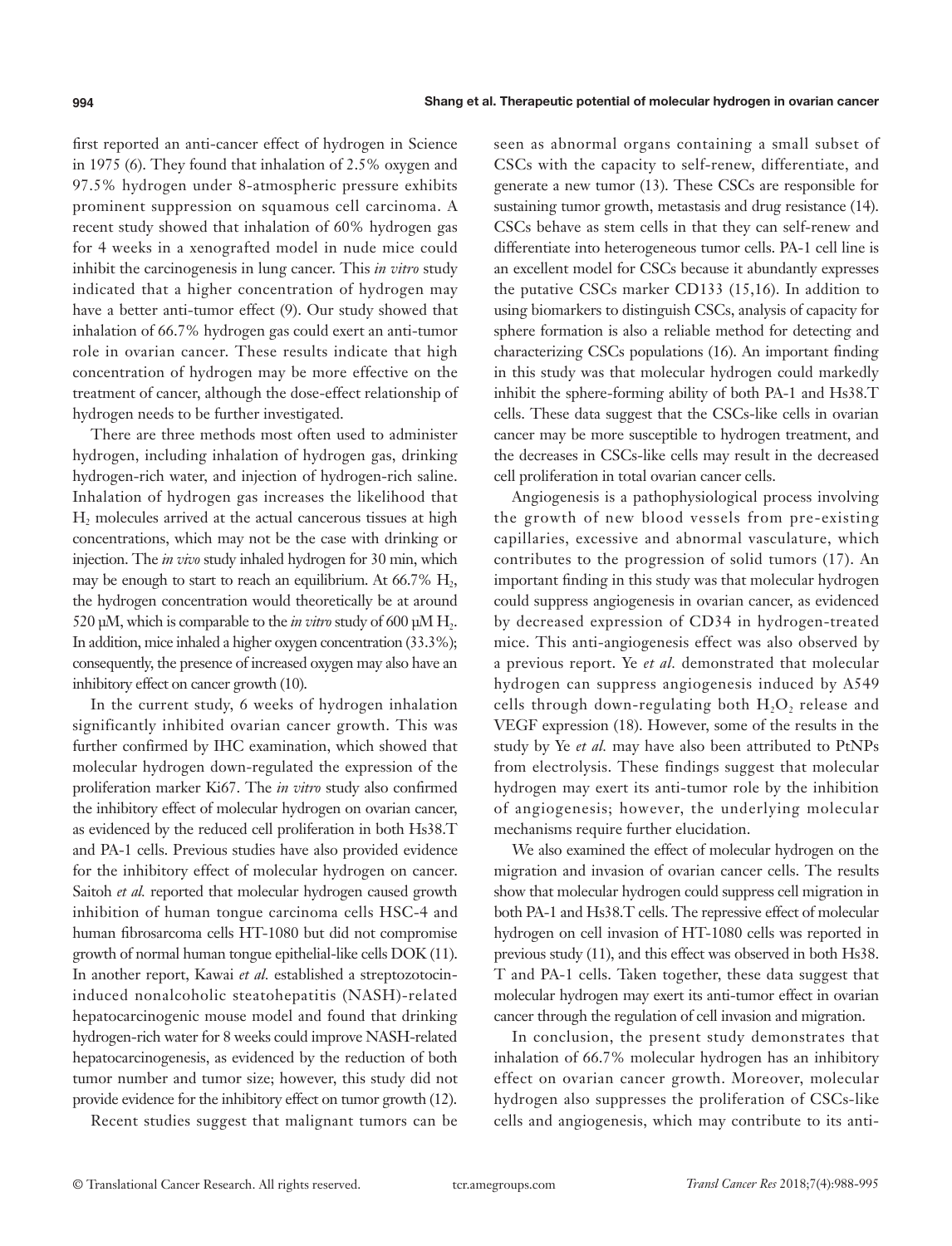first reported an anti-cancer effect of hydrogen in Science in 1975 (6). They found that inhalation of 2.5% oxygen and 97.5% hydrogen under 8-atmospheric pressure exhibits prominent suppression on squamous cell carcinoma. A recent study showed that inhalation of 60% hydrogen gas for 4 weeks in a xenografted model in nude mice could inhibit the carcinogenesis in lung cancer. This *in vitro* study indicated that a higher concentration of hydrogen may have a better anti-tumor effect (9). Our study showed that inhalation of 66.7% hydrogen gas could exert an anti-tumor role in ovarian cancer. These results indicate that high concentration of hydrogen may be more effective on the treatment of cancer, although the dose-effect relationship of hydrogen needs to be further investigated.

There are three methods most often used to administer hydrogen, including inhalation of hydrogen gas, drinking hydrogen-rich water, and injection of hydrogen-rich saline. Inhalation of hydrogen gas increases the likelihood that H<sub>2</sub> molecules arrived at the actual cancerous tissues at high concentrations, which may not be the case with drinking or injection. The *in vivo* study inhaled hydrogen for 30 min, which may be enough to start to reach an equilibrium. At  $66.7\%$  H<sub>2</sub>, the hydrogen concentration would theoretically be at around 520 µM, which is comparable to the *in vitro* study of 600 µM H2. In addition, mice inhaled a higher oxygen concentration (33.3%); consequently, the presence of increased oxygen may also have an inhibitory effect on cancer growth (10).

In the current study, 6 weeks of hydrogen inhalation significantly inhibited ovarian cancer growth. This was further confirmed by IHC examination, which showed that molecular hydrogen down-regulated the expression of the proliferation marker Ki67. The *in vitro* study also confirmed the inhibitory effect of molecular hydrogen on ovarian cancer, as evidenced by the reduced cell proliferation in both Hs38.T and PA-1 cells. Previous studies have also provided evidence for the inhibitory effect of molecular hydrogen on cancer. Saitoh *et al.* reported that molecular hydrogen caused growth inhibition of human tongue carcinoma cells HSC-4 and human fibrosarcoma cells HT-1080 but did not compromise growth of normal human tongue epithelial-like cells DOK (11). In another report, Kawai *et al.* established a streptozotocininduced nonalcoholic steatohepatitis (NASH)-related hepatocarcinogenic mouse model and found that drinking hydrogen-rich water for 8 weeks could improve NASH-related hepatocarcinogenesis, as evidenced by the reduction of both tumor number and tumor size; however, this study did not provide evidence for the inhibitory effect on tumor growth (12).

Recent studies suggest that malignant tumors can be

seen as abnormal organs containing a small subset of CSCs with the capacity to self-renew, differentiate, and generate a new tumor (13). These CSCs are responsible for sustaining tumor growth, metastasis and drug resistance (14). CSCs behave as stem cells in that they can self-renew and differentiate into heterogeneous tumor cells. PA-1 cell line is an excellent model for CSCs because it abundantly expresses the putative CSCs marker CD133 (15,16). In addition to using biomarkers to distinguish CSCs, analysis of capacity for sphere formation is also a reliable method for detecting and characterizing CSCs populations (16). An important finding in this study was that molecular hydrogen could markedly inhibit the sphere-forming ability of both PA-1 and Hs38.T cells. These data suggest that the CSCs-like cells in ovarian cancer may be more susceptible to hydrogen treatment, and the decreases in CSCs-like cells may result in the decreased cell proliferation in total ovarian cancer cells.

Angiogenesis is a pathophysiological process involving the growth of new blood vessels from pre-existing capillaries, excessive and abnormal vasculature, which contributes to the progression of solid tumors (17). An important finding in this study was that molecular hydrogen could suppress angiogenesis in ovarian cancer, as evidenced by decreased expression of CD34 in hydrogen-treated mice. This anti-angiogenesis effect was also observed by a previous report. Ye *et al.* demonstrated that molecular hydrogen can suppress angiogenesis induced by A549 cells through down-regulating both  $H_2O_2$  release and VEGF expression (18). However, some of the results in the study by Ye *et al.* may have also been attributed to PtNPs from electrolysis. These findings suggest that molecular hydrogen may exert its anti-tumor role by the inhibition of angiogenesis; however, the underlying molecular mechanisms require further elucidation.

We also examined the effect of molecular hydrogen on the migration and invasion of ovarian cancer cells. The results show that molecular hydrogen could suppress cell migration in both PA-1 and Hs38.T cells. The repressive effect of molecular hydrogen on cell invasion of HT-1080 cells was reported in previous study (11), and this effect was observed in both Hs38. T and PA-1 cells. Taken together, these data suggest that molecular hydrogen may exert its anti-tumor effect in ovarian cancer through the regulation of cell invasion and migration.

In conclusion, the present study demonstrates that inhalation of 66.7% molecular hydrogen has an inhibitory effect on ovarian cancer growth. Moreover, molecular hydrogen also suppresses the proliferation of CSCs-like cells and angiogenesis, which may contribute to its anti-